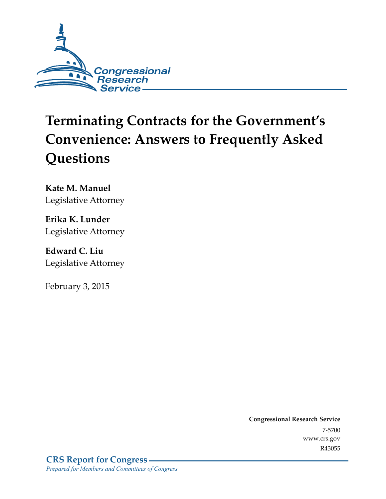

# **Terminating Contracts for the Government's Convenience: Answers to Frequently Asked Questions**

**Kate M. Manuel**  Legislative Attorney

**Erika K. Lunder**  Legislative Attorney

**Edward C. Liu**  Legislative Attorney

February 3, 2015

**Congressional Research Service**  7-5700 www.crs.gov R43055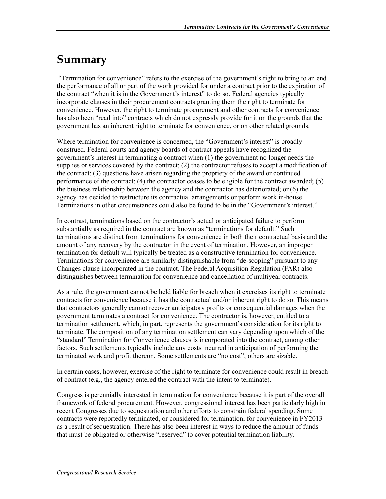### **Summary**

 "Termination for convenience" refers to the exercise of the government's right to bring to an end the performance of all or part of the work provided for under a contract prior to the expiration of the contract "when it is in the Government's interest" to do so. Federal agencies typically incorporate clauses in their procurement contracts granting them the right to terminate for convenience. However, the right to terminate procurement and other contracts for convenience has also been "read into" contracts which do not expressly provide for it on the grounds that the government has an inherent right to terminate for convenience, or on other related grounds.

Where termination for convenience is concerned, the "Government's interest" is broadly construed. Federal courts and agency boards of contract appeals have recognized the government's interest in terminating a contract when (1) the government no longer needs the supplies or services covered by the contract; (2) the contractor refuses to accept a modification of the contract; (3) questions have arisen regarding the propriety of the award or continued performance of the contract; (4) the contractor ceases to be eligible for the contract awarded; (5) the business relationship between the agency and the contractor has deteriorated; or (6) the agency has decided to restructure its contractual arrangements or perform work in-house. Terminations in other circumstances could also be found to be in the "Government's interest."

In contrast, terminations based on the contractor's actual or anticipated failure to perform substantially as required in the contract are known as "terminations for default." Such terminations are distinct from terminations for convenience in both their contractual basis and the amount of any recovery by the contractor in the event of termination. However, an improper termination for default will typically be treated as a constructive termination for convenience. Terminations for convenience are similarly distinguishable from "de-scoping" pursuant to any Changes clause incorporated in the contract. The Federal Acquisition Regulation (FAR) also distinguishes between termination for convenience and cancellation of multiyear contracts.

As a rule, the government cannot be held liable for breach when it exercises its right to terminate contracts for convenience because it has the contractual and/or inherent right to do so. This means that contractors generally cannot recover anticipatory profits or consequential damages when the government terminates a contract for convenience. The contractor is, however, entitled to a termination settlement, which, in part, represents the government's consideration for its right to terminate. The composition of any termination settlement can vary depending upon which of the "standard" Termination for Convenience clauses is incorporated into the contract, among other factors. Such settlements typically include any costs incurred in anticipation of performing the terminated work and profit thereon. Some settlements are "no cost"; others are sizable.

In certain cases, however, exercise of the right to terminate for convenience could result in breach of contract (e.g., the agency entered the contract with the intent to terminate).

Congress is perennially interested in termination for convenience because it is part of the overall framework of federal procurement. However, congressional interest has been particularly high in recent Congresses due to sequestration and other efforts to constrain federal spending. Some contracts were reportedly terminated, or considered for termination, for convenience in FY2013 as a result of sequestration. There has also been interest in ways to reduce the amount of funds that must be obligated or otherwise "reserved" to cover potential termination liability.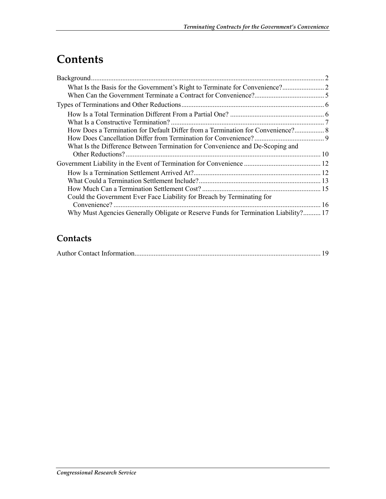# **Contents**

| How Does a Termination for Default Differ from a Termination for Convenience? 8     |  |
|-------------------------------------------------------------------------------------|--|
|                                                                                     |  |
| What Is the Difference Between Termination for Convenience and De-Scoping and       |  |
|                                                                                     |  |
|                                                                                     |  |
|                                                                                     |  |
|                                                                                     |  |
|                                                                                     |  |
| Could the Government Ever Face Liability for Breach by Terminating for              |  |
|                                                                                     |  |
| Why Must Agencies Generally Obligate or Reserve Funds for Termination Liability? 17 |  |

#### **Contacts**

|--|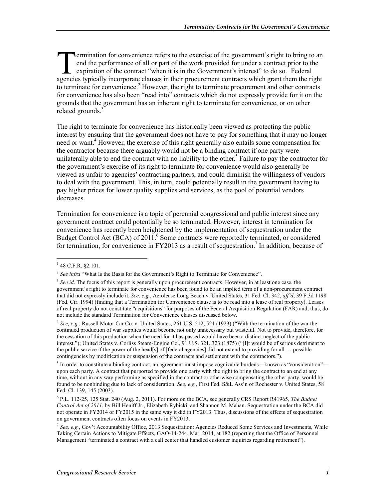ermination for convenience refers to the exercise of the government's right to bring to an end the performance of all or part of the work provided for under a contract prior to the expiration of the contract "when it is in the Government's interest" to do so.<sup>1</sup> Federal **Example 18 Contract of the exercise of the government's right to bring to an** end the performance of all or part of the work provided for under a contract prior to the expiration of the contract "when it is in the Governm to terminate for convenience.<sup>2</sup> However, the right to terminate procurement and other contracts for convenience has also been "read into" contracts which do not expressly provide for it on the grounds that the government has an inherent right to terminate for convenience, or on other related grounds. $3$ 

The right to terminate for convenience has historically been viewed as protecting the public interest by ensuring that the government does not have to pay for something that it may no longer need or want.<sup>4</sup> However, the exercise of this right generally also entails some compensation for the contractor because there arguably would not be a binding contract if one party were unilaterally able to end the contract with no liability to the other.<sup>5</sup> Failure to pay the contractor for the government's exercise of its right to terminate for convenience would also generally be viewed as unfair to agencies' contracting partners, and could diminish the willingness of vendors to deal with the government. This, in turn, could potentially result in the government having to pay higher prices for lower quality supplies and services, as the pool of potential vendors decreases.

Termination for convenience is a topic of perennial congressional and public interest since any government contract could potentially be so terminated. However, interest in termination for convenience has recently been heightened by the implementation of sequestration under the Budget Control Act (BCA) of 2011.<sup>6</sup> Some contracts were reportedly terminated, or considered for termination, for convenience in FY2013 as a result of sequestration.<sup>7</sup> In addition, because of

 $148$  C.F.R. §2.101.

<sup>&</sup>lt;sup>2</sup> See infra "What Is the Basis for the Government's Right to Terminate for Convenience".

<sup>&</sup>lt;sup>3</sup> See id. The focus of this report is generally upon procurement contracts. However, in at least one case, the government's right to terminate for convenience has been found to be an implied term of a non-procurement contract that did not expressly include it. *See, e.g.*, Aerolease Long Beach v. United States, 31 Fed. Cl. 342, *aff'd*, 39 F.3d 1198 (Fed. Cir. 1994) (finding that a Termination for Convenience clause is to be read into a lease of real property). Leases of real property do not constitute "acquisitions" for purposes of the Federal Acquisition Regulation (FAR) and, thus, do not include the standard Termination for Convenience clauses discussed below.

<sup>4</sup> *See, e.g.*, Russell Motor Car Co. v. United States, 261 U.S. 512, 521 (1923) ("With the termination of the war the continued production of war supplies would become not only unnecessary but wasteful. Not to provide, therefore, for the cessation of this production when the need for it has passed would have been a distinct neglect of the public interest."); United States v. Corliss Steam-Engine Co., 91 U.S. 321, 323 (1875) ("[I]t would be of serious detriment to the public service if the power of the head[s] of [federal agencies] did not extend to providing for all … possible contingencies by modification or suspension of the contracts and settlement with the contractors.").

 $<sup>5</sup>$  In order to constitute a binding contract, an agreement must impose cognizable burdens—known as "consideration"—</sup> upon each party. A contract that purported to provide one party with the right to bring the contract to an end at any time, without in any way performing as specified in the contract or otherwise compensating the other party, would be found to be nonbinding due to lack of consideration. *See, e.g.*, First Fed. S&L Ass'n of Rochester v. United States, 58 Fed. Cl. 139, 145 (2003).

<sup>6</sup> P.L. 112-25, 125 Stat. 240 (Aug. 2, 2011). For more on the BCA, see generally CRS Report R41965, *The Budget Control Act of 2011*, by Bill Heniff Jr., Elizabeth Rybicki, and Shannon M. Mahan. Sequestration under the BCA did not operate in FY2014 or FY2015 in the same way it did in FY2013. Thus, discussions of the effects of sequestration on government contracts often focus on events in FY2013.

<sup>7</sup> *See, e.g.*, Gov't Accountability Office, 2013 Sequestration: Agencies Reduced Some Services and Investments, While Taking Certain Actions to Mitigate Effects, GAO-14-244, Mar. 2014, at 182 (reporting that the Office of Personnel Management "terminated a contract with a call center that handled customer inquiries regarding retirement").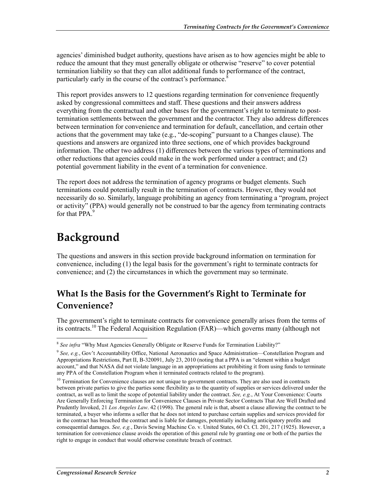agencies' diminished budget authority, questions have arisen as to how agencies might be able to reduce the amount that they must generally obligate or otherwise "reserve" to cover potential termination liability so that they can allot additional funds to performance of the contract, particularly early in the course of the contract's performance.<sup>8</sup>

This report provides answers to 12 questions regarding termination for convenience frequently asked by congressional committees and staff. These questions and their answers address everything from the contractual and other bases for the government's right to terminate to posttermination settlements between the government and the contractor. They also address differences between termination for convenience and termination for default, cancellation, and certain other actions that the government may take  $(e.g., "de-scoping"$  pursuant to a Changes clause). The questions and answers are organized into three sections, one of which provides background information. The other two address (1) differences between the various types of terminations and other reductions that agencies could make in the work performed under a contract; and (2) potential government liability in the event of a termination for convenience.

The report does not address the termination of agency programs or budget elements. Such terminations could potentially result in the termination of contracts. However, they would not necessarily do so. Similarly, language prohibiting an agency from terminating a "program, project or activity" (PPA) would generally not be construed to bar the agency from terminating contracts for that PPA<sup>9</sup>

# **Background**

1

The questions and answers in this section provide background information on termination for convenience, including (1) the legal basis for the government's right to terminate contracts for convenience; and (2) the circumstances in which the government may so terminate.

### **What Is the Basis for the Government's Right to Terminate for Convenience?**

The government's right to terminate contracts for convenience generally arises from the terms of its contracts.<sup>10</sup> The Federal Acquisition Regulation (FAR)—which governs many (although not

<sup>8</sup> *See infra* "Why Must Agencies Generally Obligate or Reserve Funds for Termination Liability?"

<sup>&</sup>lt;sup>9</sup> See, e.g., Gov't Accountability Office, National Aeronautics and Space Administration—Constellation Program and Appropriations Restrictions, Part II, B-320091, July 23, 2010 (noting that a PPA is an "element within a budget account," and that NASA did not violate language in an appropriations act prohibiting it from using funds to terminate any PPA of the Constellation Program when it terminated contracts related to the program).

<sup>&</sup>lt;sup>10</sup> Termination for Convenience clauses are not unique to government contracts. They are also used in contracts between private parties to give the parties some flexibility as to the quantity of supplies or services delivered under the contract, as well as to limit the scope of potential liability under the contract. *See, e.g.*, At Your Convenience: Courts Are Generally Enforcing Termination for Convenience Clauses in Private Sector Contracts That Are Well Drafted and Prudently Invoked, 21 *Los Angeles Law*. 42 (1998). The general rule is that, absent a clause allowing the contract to be terminated, a buyer who informs a seller that he does not intend to purchase certain supplies and services provided for in the contract has breached the contract and is liable for damages, potentially including anticipatory profits and consequential damages. *See, e.g.*, Davis Sewing Machine Co. v. United States, 60 Ct. Cl. 201, 217 (1925). However, a termination for convenience clause avoids the operation of this general rule by granting one or both of the parties the right to engage in conduct that would otherwise constitute breach of contract.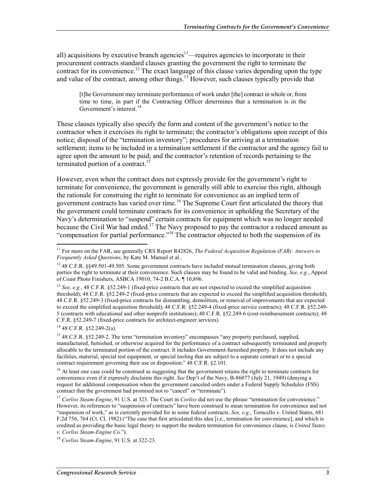all) acquisitions by executive branch agencies<sup>11</sup>—requires agencies to incorporate in their procurement contracts standard clauses granting the government the right to terminate the contract for its convenience.<sup>12</sup> The exact language of this clause varies depending upon the type and value of the contract, among other things.<sup>13</sup> However, such clauses typically provide that

[t]he Government may terminate performance of work under [the] contract in whole or, from time to time, in part if the Contracting Officer determines that a termination is in the Government's interest.<sup>14</sup>

These clauses typically also specify the form and content of the government's notice to the contractor when it exercises its right to terminate; the contractor's obligations upon receipt of this notice; disposal of the "termination inventory"; procedures for arriving at a termination settlement; items to be included in a termination settlement if the contractor and the agency fail to agree upon the amount to be paid; and the contractor's retention of records pertaining to the terminated portion of a contract.<sup>15</sup>

However, even when the contract does not expressly provide for the government's right to terminate for convenience, the government is generally still able to exercise this right, although the rationale for construing the right to terminate for convenience as an implied term of government contracts has varied over time.16 The Supreme Court first articulated the theory that the government could terminate contracts for its convenience in upholding the Secretary of the Navy's determination to "suspend" certain contracts for equipment which was no longer needed because the Civil War had ended.<sup>17</sup> The Navy proposed to pay the contractor a reduced amount as "compensation for partial performance."<sup>18</sup> The contractor objected to both the suspension of its

 $14$  48 C.F.R. §52.249-2(a).

<u>.</u>

<sup>16</sup> At least one case could be construed as suggesting that the government retains the right to terminate contracts for convenience even if it expressly disclaims this right. *See* Dep't of the Navy, B-86077 (July 21, 1949) (denying a request for additional compensation when the government canceled orders under a Federal Supply Schedules (FSS) contract that the government had promised not to "cancel" or "terminate").

<sup>11</sup> For more on the FAR, see generally CRS Report R42826, *The Federal Acquisition Regulation (FAR): Answers to Frequently Asked Questions*, by Kate M. Manuel et al..

<sup>&</sup>lt;sup>12</sup> 48 C.F.R. §§49.501-49.505. Some government contracts have included mutual termination clauses, giving both parties the right to terminate at their convenience. Such clauses may be found to be valid and binding. *See, e.g.*, Appeal of Coast Photo Finishers, ASBCA 19010, 74-2 B.C.A. ¶ 10,896.

<sup>&</sup>lt;sup>13</sup> *See, e.g.*, 48 C.F.R. §52.249-1 (fixed-price contracts that are not expected to exceed the simplified acquisition threshold); 48 C.F.R. §52.249-2 (fixed-price contracts that are expected to exceed the simplified acquisition threshold); 48 C.F.R. §52.249-3 (fixed-price contracts for dismantling, demolition, or removal of improvements that are expected to exceed the simplified acquisition threshold); 48 C.F.R. §52.249-4 (fixed-price service contracts); 48 C.F.R. §52.249- 5 (contracts with educational and other nonprofit institutions); 48 C.F.R. §52.249-6 (cost-reimbursement contracts); 48 C.F.R. §52.249-7 (fixed-price contracts for architect-engineer services).

<sup>&</sup>lt;sup>15</sup> 48 C.F.R. §52.249-2. The term "termination inventory" encompasses "any property purchased, supplied, manufactured, furnished, or otherwise acquired for the performance of a contract subsequently terminated and properly allocable to the terminated portion of the contract. It includes Government-furnished property. It does not include any facilities, material, special test equipment, or special tooling that are subject to a separate contract or to a special contract requirement governing their use or disposition." 48 C.F.R. §2.101.

<sup>17</sup> *Corliss Steam-Engine*, 91 U.S. at 323. The Court in *Corliss* did not use the phrase "termination for convenience." However, its references to "suspension of contracts" have been construed to mean termination for convenience and not "suspension of work," as is currently provided for in some federal contracts. *See, e.g.*, Torncello v. United States, 681 F.2d 756, 764 (Ct. Cl. 1982) ("The case that first articulated this idea [i.e., termination for convenience], and which is credited as providing the basic legal theory to support the modern termination for convenience clause, is *United States v. Corliss Steam-Engine Co.*").

<sup>18</sup> *Corliss Steam-Engine*, 91 U.S. at 322-23.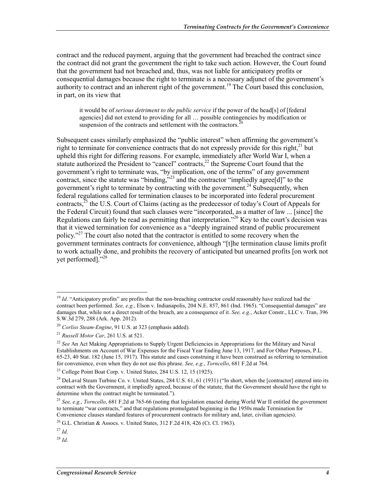contract and the reduced payment, arguing that the government had breached the contract since the contract did not grant the government the right to take such action. However, the Court found that the government had not breached and, thus, was not liable for anticipatory profits or consequential damages because the right to terminate is a necessary adjunct of the government's authority to contract and an inherent right of the government.<sup>19</sup> The Court based this conclusion, in part, on its view that

it would be of *serious detriment to the public service* if the power of the head[s] of [federal agencies] did not extend to providing for all … possible contingencies by modification or suspension of the contracts and settlement with the contractors.<sup>2</sup>

Subsequent cases similarly emphasized the "public interest" when affirming the government's right to terminate for convenience contracts that do not expressly provide for this right,<sup>21</sup> but upheld this right for differing reasons. For example, immediately after World War I, when a statute authorized the President to "cancel" contracts,<sup>22</sup> the Supreme Court found that the government's right to terminate was, "by implication, one of the terms" of any government contract, since the statute was "binding,"<sup>23</sup> and the contractor "impliedly agree[d]" to the government's right to terminate by contracting with the government.<sup>24</sup> Subsequently, when federal regulations called for termination clauses to be incorporated into federal procurement contracts,<sup>25</sup> the U.S. Court of Claims (acting as the predecessor of today's Court of Appeals for the Federal Circuit) found that such clauses were "incorporated, as a matter of law ... [since] the Regulations can fairly be read as permitting that interpretation."<sup>26</sup> Key to the court's decision was that it viewed termination for convenience as a "deeply ingrained strand of public procurement policy."27 The court also noted that the contractor is entitled to some recovery when the government terminates contracts for convenience, although "[t]he termination clause limits profit to work actually done, and prohibits the recovery of anticipated but unearned profits [on work not vet performed]."<sup>28</sup>

<sup>&</sup>lt;sup>19</sup> *Id.* "Anticipatory profits" are profits that the non-breaching contractor could reasonably have realized had the contract been performed. *See, e.g.*, Elson v. Indianapolis, 204 N.E. 857, 861 (Ind. 1965). "Consequential damages" are damages that, while not a direct result of the breach, are a consequence of it. *See, e.g.*, Acker Constr., LLC v. Tran, 396 S.W.3d 279, 288 (Ark. App. 2012).

<sup>20</sup> *Corliss Steam-Engine*, 91 U.S. at 323 (emphasis added).

<sup>21</sup> *Russell Motor Car*, 261 U.S. at 521.

<sup>&</sup>lt;sup>22</sup> See An Act Making Appropriations to Supply Urgent Deficiencies in Appropriations for the Military and Naval Establishments on Account of War Expenses for the Fiscal Year Ending June 13, 1917, and For Other Purposes, P.L. 65-23, 40 Stat. 182 (June 15, 1917). This statute and cases construing it have been construed as referring to termination for convenience, even when they do not use this phrase. *See, e.g.*, *Torncello*, 681 F.2d at 764.

<sup>&</sup>lt;sup>23</sup> College Point Boat Corp. v. United States, 284 U.S. 12, 15 (1925).

<sup>&</sup>lt;sup>24</sup> DeLaval Steam Turbine Co. v. United States, 284 U.S.  $61, 61, 61$  (1931) ("In short, when the [contractor] entered into its contract with the Government, it impliedly agreed, because of the statute, that the Government should have the right to determine when the contract might be terminated.").

<sup>25</sup> *See, e.g.*, *Torncello*, 681 F.2d at 765-66 (noting that legislation enacted during World War II entitled the government to terminate "war contracts," and that regulations promulgated beginning in the 1950s made Termination for Convenience clauses standard features of procurement contracts for military and, later, civilian agencies).

<sup>26</sup> G.L. Christian & Assocs. v. United States, 312 F.2d 418, 426 (Ct. Cl. 1963).

<sup>27</sup> *Id*.

<sup>28</sup> *Id*.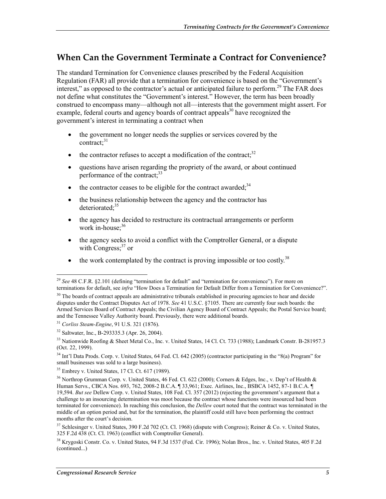#### **When Can the Government Terminate a Contract for Convenience?**

The standard Termination for Convenience clauses prescribed by the Federal Acquisition Regulation (FAR) all provide that a termination for convenience is based on the "Government's interest," as opposed to the contractor's actual or anticipated failure to perform.<sup>29</sup> The FAR does not define what constitutes the "Government's interest." However, the term has been broadly construed to encompass many—although not all—interests that the government might assert. For example, federal courts and agency boards of contract appeals $30$  have recognized the government's interest in terminating a contract when

- the government no longer needs the supplies or services covered by the contract: $31$
- the contractor refuses to accept a modification of the contract; $32$
- questions have arisen regarding the propriety of the award, or about continued performance of the contract;<sup>33</sup>
- the contractor ceases to be eligible for the contract awarded;  $34$
- the business relationship between the agency and the contractor has deteriorated: $35$
- the agency has decided to restructure its contractual arrangements or perform work in-house:<sup>36</sup>
- the agency seeks to avoid a conflict with the Comptroller General, or a dispute with Congress; $37$  or
- $\bullet$  the work contemplated by the contract is proving impossible or too costly.<sup>38</sup>

 $35$  Embrey v. United States, 17 Cl. Ct. 617 (1989).

<sup>1</sup> <sup>29</sup> *See* 48 C.F.R. §2.101 (defining "termination for default" and "termination for convenience"). For more on terminations for default, see *infra* "How Does a Termination for Default Differ from a Termination for Convenience?".

 $30$  The boards of contract appeals are administrative tribunals established in procuring agencies to hear and decide disputes under the Contract Disputes Act of 1978. *See* 41 U.S.C. §7105. There are currently four such boards: the Armed Services Board of Contract Appeals; the Civilian Agency Board of Contract Appeals; the Postal Service board; and the Tennessee Valley Authority board. Previously, there were additional boards.

<sup>31</sup> *Corliss Steam-Engine*, 91 U.S. 321 (1876).

<sup>32</sup> Saltwater, Inc., B-293335.3 (Apr. 26, 2004).

<sup>33</sup> Nationwide Roofing & Sheet Metal Co., Inc. v. United States, 14 Cl. Ct. 733 (1988); Landmark Constr. B-281957.3 (Oct. 22, 1999).

<sup>&</sup>lt;sup>34</sup> Int'l Data Prods. Corp. v. United States, 64 Fed. Cl. 642 (2005) (contractor participating in the "8(a) Program" for small businesses was sold to a large business).

<sup>&</sup>lt;sup>36</sup> Northrop Grumman Corp. v. United States, 46 Fed. Cl. 622 (2000); Corners & Edges, Inc., v. Dep't of Health & Human Servs., CBCA Nos. 693, 762, 2008-2 B.C.A. ¶ 33,961; Exec. Airlines, Inc., BSBCA 1452, 87-1 B.C.A. ¶ 19,594. *But see* Dellew Corp. v. United States, 108 Fed. Cl. 357 (2012) (rejecting the government's argument that a challenge to an insourcing determination was moot because the contract whose functions were insourced had been terminated for convenience). In reaching this conclusion, the *Dellew* court noted that the contract was terminated in the middle of an option period and, but for the termination, the plaintiff could still have been performing the contract months after the court's decision.

<sup>&</sup>lt;sup>37</sup> Schlesinger v. United States, 390 F.2d 702 (Ct. Cl. 1968) (dispute with Congress); Reiner & Co. v. United States, 325 F.2d 438 (Ct. Cl. 1963) (conflict with Comptroller General).

<sup>38</sup> Krygoski Constr. Co. v. United States, 94 F.3d 1537 (Fed. Cir. 1996); Nolan Bros., Inc. v. United States, 405 F.2d (continued...)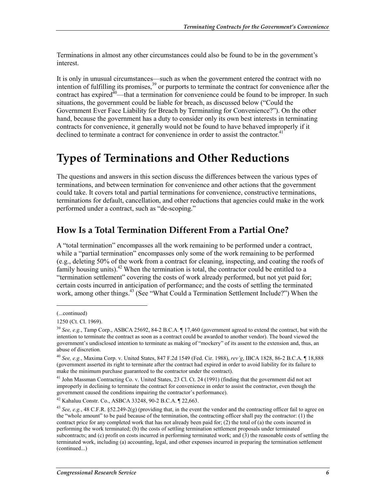Terminations in almost any other circumstances could also be found to be in the government's interest.

It is only in unusual circumstances—such as when the government entered the contract with no intention of fulfilling its promises,<sup>39</sup> or purports to terminate the contract for convenience after the contract has expired<sup> $40$ </sup>—that a termination for convenience could be found to be improper. In such situations, the government could be liable for breach, as discussed below ("Could the Government Ever Face Liability for Breach by Terminating for Convenience?"). On the other hand, because the government has a duty to consider only its own best interests in terminating contracts for convenience, it generally would not be found to have behaved improperly if it declined to terminate a contract for convenience in order to assist the contractor.<sup>41</sup>

## **Types of Terminations and Other Reductions**

The questions and answers in this section discuss the differences between the various types of terminations, and between termination for convenience and other actions that the government could take. It covers total and partial terminations for convenience, constructive terminations, terminations for default, cancellation, and other reductions that agencies could make in the work performed under a contract, such as "de-scoping."

#### **How Is a Total Termination Different From a Partial One?**

A "total termination" encompasses all the work remaining to be performed under a contract, while a "partial termination" encompasses only some of the work remaining to be performed (e.g., deleting 50% of the work from a contract for cleaning, inspecting, and coating the roofs of family housing units). $^{42}$  When the termination is total, the contractor could be entitled to a "termination settlement" covering the costs of work already performed, but not yet paid for; certain costs incurred in anticipation of performance; and the costs of settling the terminated work, among other things.<sup>43</sup> (See "What Could a Termination Settlement Include?") When the

 $\overline{a}$ 

<sup>(...</sup>continued)

<sup>1250 (</sup>Ct. Cl. 1969).

<sup>39</sup> *See, e.g.*, Tamp Corp., ASBCA 25692, 84-2 B.C.A. ¶ 17,460 (government agreed to extend the contract, but with the intention to terminate the contract as soon as a contract could be awarded to another vendor). The board viewed the government's undisclosed intention to terminate as making of "mockery" of its assent to the extension and, thus, an abuse of discretion.

<sup>40</sup> *See, e.g.*, Maxima Corp. v. United States, 847 F.2d 1549 (Fed. Cir. 1988), *rev'g*, IBCA 1828, 86-2 B.C.A. ¶ 18,888 (government asserted its right to terminate after the contract had expired in order to avoid liability for its failure to make the minimum purchase guaranteed to the contractor under the contract).

<sup>&</sup>lt;sup>41</sup> John Massman Contracting Co. v. United States, 23 Cl. Ct. 24 (1991) (finding that the government did not act improperly in declining to terminate the contract for convenience in order to assist the contractor, even though the government caused the conditions impairing the contractor's performance).

<sup>42</sup> Kahaluu Constr. Co., ASBCA 33248, 90-2 B.C.A. ¶ 22,663.

<sup>&</sup>lt;sup>43</sup> *See, e.g.*, 48 C.F.R. §52.249-2(g) (providing that, in the event the vendor and the contracting officer fail to agree on the "whole amount" to be paid because of the termination, the contracting officer shall pay the contractor: (1) the contract price for any completed work that has not already been paid for; (2) the total of (a) the costs incurred in performing the work terminated; (b) the costs of settling termination settlement proposals under terminated subcontracts; and (c) profit on costs incurred in performing terminated work; and (3) the reasonable costs of settling the terminated work, including (a) accounting, legal, and other expenses incurred in preparing the termination settlement (continued...)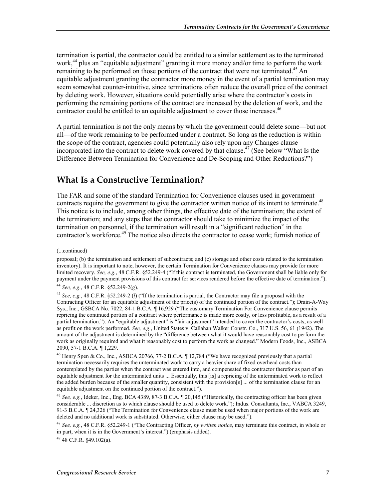termination is partial, the contractor could be entitled to a similar settlement as to the terminated work,<sup>44</sup> plus an "equitable adjustment" granting it more money and/or time to perform the work remaining to be performed on those portions of the contract that were not terminated.<sup>45</sup> An equitable adjustment granting the contractor more money in the event of a partial termination may seem somewhat counter-intuitive, since terminations often reduce the overall price of the contract by deleting work. However, situations could potentially arise where the contractor's costs in performing the remaining portions of the contract are increased by the deletion of work, and the contractor could be entitled to an equitable adjustment to cover those increases.<sup>46</sup>

A partial termination is not the only means by which the government could delete some—but not all—of the work remaining to be performed under a contract. So long as the reduction is within the scope of the contract, agencies could potentially also rely upon any Changes clause incorporated into the contract to delete work covered by that clause.<sup>47</sup> (See below "What Is the Difference Between Termination for Convenience and De-Scoping and Other Reductions?")

#### **What Is a Constructive Termination?**

The FAR and some of the standard Termination for Convenience clauses used in government contracts require the government to give the contractor written notice of its intent to terminate.<sup>48</sup> This notice is to include, among other things, the effective date of the termination; the extent of the termination; and any steps that the contractor should take to minimize the impact of the termination on personnel, if the termination will result in a "significant reduction" in the contractor's workforce.<sup>49</sup> The notice also directs the contractor to cease work; furnish notice of

 $^{49}$  48 C.F.R. 849.102(a).

<sup>(...</sup>continued)

proposal; (b) the termination and settlement of subcontracts; and (c) storage and other costs related to the termination inventory). It is important to note, however, the certain Termination for Convenience clauses may provide for more limited recovery. *See, e.g.*, 48 C.F.R. §52.249-4 ("If this contract is terminated, the Government shall be liable only for payment under the payment provisions of this contract for services rendered before the effective date of termination.").

<sup>44</sup> *See, e.g.*, 48 C.F.R. §52.249-2(g).

<sup>45</sup> *See, e.g.*, 48 C.F.R. §52.249-2 (*l*) ("If the termination is partial, the Contractor may file a proposal with the Contracting Officer for an equitable adjustment of the price(s) of the continued portion of the contract."); Drain-A-Way Sys., Inc., GSBCA No. 7022, 84-1 B.C.A. ¶ 16,929 ("The customary Termination For Convenience clause permits repricing the continued portion of a contract where performance is made more costly, or less profitable, as a result of a partial termination."). An "equitable adjustment" is "fair adjustment" intended to cover the contractor's costs, as well as profit on the work performed. *See, e.g.*, United States v. Callahan Walker Constr. Co., 317 U.S. 56, 61 (1942). The amount of the adjustment is determined by the "difference between what it would have reasonably cost to perform the work as originally required and what it reasonably cost to perform the work as changed." Modern Foods, Inc., ASBCA 2090, 57-1 B.C.A. ¶ 1,229.

<sup>46</sup> Henry Spen & Co., Inc., ASBCA 20766, 77-2 B.C.A. ¶ 12,784 ("We have recognized previously that a partial termination necessarily requires the unterminated work to carry a heavier share of fixed overhead costs than contemplated by the parties when the contract was entered into, and compensated the contractor therefor as part of an equitable adjustment for the unterminated units ... Essentially, this [is] a repricing of the unterminated work to reflect the added burden because of the smaller quantity, consistent with the provision[s] ... of the termination clause for an equitable adjustment on the continued portion of the contract.").

<sup>47</sup> *See, e.g.*, Ideker, Inc., Eng. BCA 4389, 87-3 B.C.A. ¶ 20,145 ("Historically, the contracting officer has been given considerable ... discretion as to which clause should be used to delete work."); Indus. Consultants, Inc., VABCA 3249, 91-3 B.C.A. ¶ 24,326 ("The Termination for Convenience clause must be used when major portions of the work are deleted and no additional work is substituted. Otherwise, either clause may be used.").

<sup>48</sup> *See, e.g.*, 48 C.F.R. §52.249-1 ("The Contracting Officer, *by written notice*, may terminate this contract, in whole or in part, when it is in the Government's interest.") (emphasis added).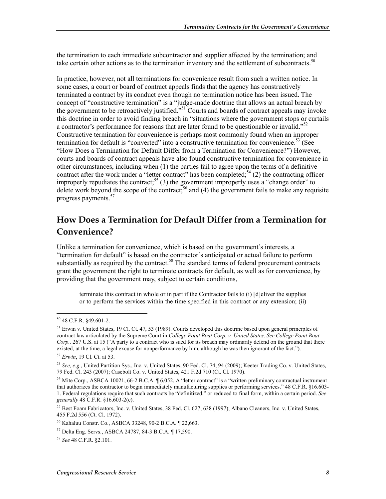the termination to each immediate subcontractor and supplier affected by the termination; and take certain other actions as to the termination inventory and the settlement of subcontracts.<sup>50</sup>

In practice, however, not all terminations for convenience result from such a written notice. In some cases, a court or board of contract appeals finds that the agency has constructively terminated a contract by its conduct even though no termination notice has been issued. The concept of "constructive termination" is a "judge-made doctrine that allows an actual breach by the government to be retroactively justified."<sup>51</sup> Courts and boards of contract appeals may invoke this doctrine in order to avoid finding breach in "situations where the government stops or curtails a contractor's performance for reasons that are later found to be questionable or invalid."<sup>52</sup> Constructive termination for convenience is perhaps most commonly found when an improper termination for default is "converted" into a constructive termination for convenience.<sup>53</sup> (See "How Does a Termination for Default Differ from a Termination for Convenience?") However, courts and boards of contract appeals have also found constructive termination for convenience in other circumstances, including when (1) the parties fail to agree upon the terms of a definitive contract after the work under a "letter contract" has been completed;  $54$  (2) the contracting officer improperly repudiates the contract;<sup>55</sup> (3) the government improperly uses a "change order" to delete work beyond the scope of the contract;<sup>56</sup> and (4) the government fails to make any requisite progress payments.57

#### **How Does a Termination for Default Differ from a Termination for Convenience?**

Unlike a termination for convenience, which is based on the government's interests, a "termination for default" is based on the contractor's anticipated or actual failure to perform substantially as required by the contract.<sup>58</sup> The standard terms of federal procurement contracts grant the government the right to terminate contracts for default, as well as for convenience, by providing that the government may, subject to certain conditions,

terminate this contract in whole or in part if the Contractor fails to (i) [d]eliver the supplies or to perform the services within the time specified in this contract or any extension; (ii)

<sup>50 48</sup> C.F.R. §49.601-2.

<sup>51</sup> Erwin v. United States, 19 Cl. Ct. 47, 53 (1989). Courts developed this doctrine based upon general principles of contract law articulated by the Supreme Court in *College Point Boat Corp. v. United States*. *See College Point Boat Corp.,* 267 U.S. at 15 ("A party to a contract who is sued for its breach may ordinarily defend on the ground that there existed, at the time, a legal excuse for nonperformance by him, although he was then ignorant of the fact.").

<sup>52</sup> *Erwin*, 19 Cl. Ct. at 53.

<sup>53</sup> *See, e.g.*, United Partition Sys., Inc. v. United States, 90 Fed. Cl. 74, 94 (2009); Keeter Trading Co. v. United States, 79 Fed. Cl. 243 (2007); Casebolt Co. v. United States, 421 F.2d 710 (Ct. Cl. 1970).

<sup>&</sup>lt;sup>54</sup> Mite Corp., ASBCA 10021, 66-2 B.C.A. ¶ 6,052. A "letter contract" is a "written preliminary contractual instrument that authorizes the contractor to begin immediately manufacturing supplies or performing services." 48 C.F.R. §16.603- 1. Federal regulations require that such contracts be "definitized," or reduced to final form, within a certain period. *See generally* 48 C.F.R. §16.603-2(c).

<sup>55</sup> Best Foam Fabricators, Inc. v. United States, 38 Fed. Cl. 627, 638 (1997); Albano Cleaners, Inc. v. United States, 455 F.2d 556 (Ct. Cl. 1972).

<sup>56</sup> Kahaluu Constr. Co., ASBCA 33248, 90-2 B.C.A. ¶ 22,663.

<sup>57</sup> Delta Eng. Servs., ASBCA 24787, 84-3 B.C.A. ¶ 17,590.

<sup>58</sup> *See* 48 C.F.R. §2.101.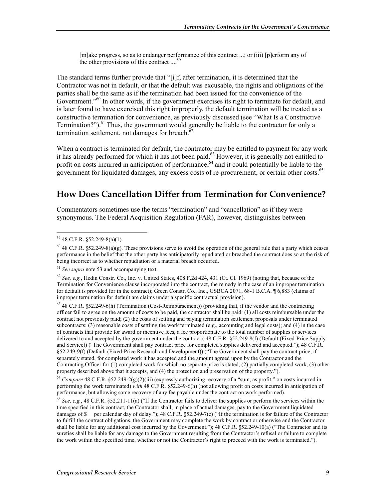[m]ake progress, so as to endanger performance of this contract ...; or (iii) [p]erform any of the other provisions of this contract ....<sup>59</sup>

The standard terms further provide that "[i]f, after termination, it is determined that the Contractor was not in default, or that the default was excusable, the rights and obligations of the parties shall be the same as if the termination had been issued for the convenience of the Government."<sup>60</sup> In other words, if the government exercises its right to terminate for default, and is later found to have exercised this right improperly, the default termination will be treated as a constructive termination for convenience, as previously discussed (see "What Is a Constructive Termination?").<sup>61</sup> Thus, the government would generally be liable to the contractor for only a termination settlement, not damages for breach. $62$ 

When a contract is terminated for default, the contractor may be entitled to payment for any work it has already performed for which it has not been paid.<sup>63</sup> However, it is generally not entitled to profit on costs incurred in anticipation of performance,<sup>64</sup> and it could potentially be liable to the government for liquidated damages, any excess costs of re-procurement, or certain other costs.<sup>65</sup>

#### **How Does Cancellation Differ from Termination for Convenience?**

Commentators sometimes use the terms "termination" and "cancellation" as if they were synonymous. The Federal Acquisition Regulation (FAR), however, distinguishes between

 $59$  48 C.F.R. §52.249-8(a)(1).

<sup>&</sup>lt;sup>60</sup> 48 C.F.R. §52.249-8(a)(g). These provisions serve to avoid the operation of the general rule that a party which ceases performance in the belief that the other party has anticipatorily repudiated or breached the contract does so at the risk of being incorrect as to whether repudiation or a material breach occurred.

<sup>61</sup> *See supra* note 53 and accompanying text.

 $62$  *See, e.g.*, Hedin Constr. Co., Inc. v. United States, 408 F.2d 424, 431 (Ct. Cl. 1969) (noting that, because of the Termination for Convenience clause incorporated into the contract, the remedy in the case of an improper termination for default is provided for in the contract); Green Constr. Co., Inc., GSBCA 2071, 68-1 B.C.A. ¶ 6,883 (claims of improper termination for default are claims under a specific contractual provision).

<sup>63 48</sup> C.F.R. §52.249-6(h) (Termination (Cost-Reimbursement)) (providing that, if the vendor and the contracting officer fail to agree on the amount of costs to be paid, the contractor shall be paid: (1) all costs reimbursable under the contract not previously paid; (2) the costs of settling and paying termination settlement proposals under terminated subcontracts; (3) reasonable costs of settling the work terminated (e.g., accounting and legal costs); and (4) in the case of contracts that provide for award or incentive fees, a fee proportionate to the total number of supplies or services delivered to and accepted by the government under the contract); 48 C.F.R. §52.249-8(f) (Default (Fixed-Price Supply and Service)) ("The Government shall pay contract price for completed supplies delivered and accepted."); 48 C.F.R. §52.249-9(f) (Default (Fixed-Price Research and Development)) ("The Government shall pay the contract price, if separately stated, for completed work it has accepted and the amount agreed upon by the Contractor and the Contracting Officer for (1) completed work for which no separate price is stated, (2) partially completed work, (3) other property described above that it accepts, and (4) the protection and preservation of the property.").

<sup>64</sup> *Compare* 48 C.F.R. §52.249-2(g)(2)(iii) (expressly authorizing recovery of a "sum, as profit," on costs incurred in performing the work terminated) *with* 48 C.F.R. §52.249-6(h) (not allowing profit on costs incurred in anticipation of performance, but allowing some recovery of any fee payable under the contract on work performed).

<sup>&</sup>lt;sup>65</sup> See, e.g., 48 C.F.R. §52.211-11(a) ("If the Contractor fails to deliver the supplies or perform the services within the time specified in this contract, the Contractor shall, in place of actual damages, pay to the Government liquidated damages of \$ per calendar day of delay."); 48 C.F.R. §52.249-7(c) ("If the termination is for failure of the Contractor to fulfill the contract obligations, the Government may complete the work by contract or otherwise and the Contractor shall be liable for any additional cost incurred by the Government."); 48 C.F.R. §52.249-10(a) ("The Contractor and its sureties shall be liable for any damage to the Government resulting from the Contractor's refusal or failure to complete the work within the specified time, whether or not the Contractor's right to proceed with the work is terminated.").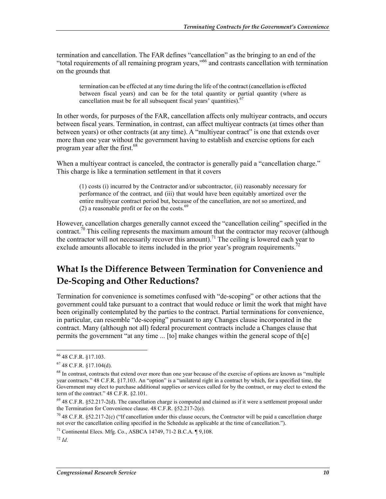termination and cancellation. The FAR defines "cancellation" as the bringing to an end of the "total requirements of all remaining program years,"66 and contrasts cancellation with termination on the grounds that

termination can be effected at any time during the life of the contract (cancellation is effected between fiscal years) and can be for the total quantity or partial quantity (where as cancellation must be for all subsequent fiscal years' quantities). $67$ 

In other words, for purposes of the FAR, cancellation affects only multiyear contracts, and occurs between fiscal years. Termination, in contrast, can affect multiyear contracts (at times other than between years) or other contracts (at any time). A "multiyear contract" is one that extends over more than one year without the government having to establish and exercise options for each program year after the first.<sup>68</sup>

When a multiyear contract is canceled, the contractor is generally paid a "cancellation charge." This charge is like a termination settlement in that it covers

(1) costs (i) incurred by the Contractor and/or subcontractor, (ii) reasonably necessary for performance of the contract, and (iii) that would have been equitably amortized over the entire multiyear contract period but, because of the cancellation, are not so amortized, and (2) a reasonable profit or fee on the costs. $69$ 

However, cancellation charges generally cannot exceed the "cancellation ceiling" specified in the contract.<sup>70</sup> This ceiling represents the maximum amount that the contractor may recover (although the contractor will not necessarily recover this amount).<sup>71</sup> The ceiling is lowered each year to exclude amounts allocable to items included in the prior year's program requirements.<sup>7</sup>

### **What Is the Difference Between Termination for Convenience and De-Scoping and Other Reductions?**

Termination for convenience is sometimes confused with "de-scoping" or other actions that the government could take pursuant to a contract that would reduce or limit the work that might have been originally contemplated by the parties to the contract. Partial terminations for convenience, in particular, can resemble "de-scoping" pursuant to any Changes clause incorporated in the contract. Many (although not all) federal procurement contracts include a Changes clause that permits the government "at any time ... [to] make changes within the general scope of th[e]

<sup>66 48</sup> C.F.R. §17.103.

 $67$  48 C.F.R. §17.104(d).

<sup>&</sup>lt;sup>68</sup> In contrast, contracts that extend over more than one year because of the exercise of options are known as "multiple year contracts." 48 C.F.R. §17.103. An "option" is a "unilateral right in a contract by which, for a specified time, the Government may elect to purchase additional supplies or services called for by the contract, or may elect to extend the term of the contract." 48 C.F.R. §2.101.

 $69$  48 C.F.R. §52.217-2(d). The cancellation charge is computed and claimed as if it were a settlement proposal under the Termination for Convenience clause. 48 C.F.R. §52.217-2(e).

 $^{70}$  48 C.F.R. §52.217-2(c) ("If cancellation under this clause occurs, the Contractor will be paid a cancellation charge not over the cancellation ceiling specified in the Schedule as applicable at the time of cancellation.").

<sup>71</sup> Continental Elecs. Mfg. Co., ASBCA 14749, 71-2 B.C.A. ¶ 9,108.

<sup>72</sup> *Id*.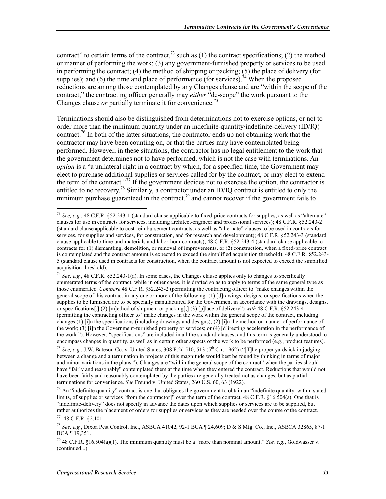contract" to certain terms of the contract,<sup>73</sup> such as (1) the contract specifications; (2) the method or manner of performing the work; (3) any government-furnished property or services to be used in performing the contract; (4) the method of shipping or packing; (5) the place of delivery (for supplies); and (6) the time and place of performance (for services).<sup>74</sup> When the proposed reductions are among those contemplated by any Changes clause and are "within the scope of the contract," the contracting officer generally may *either* "de-scope" the work pursuant to the Changes clause *or* partially terminate it for convenience.<sup>75</sup>

Terminations should also be distinguished from determinations not to exercise options, or not to order more than the minimum quantity under an indefinite-quantity/indefinite-delivery (ID/IQ) contract.<sup>76</sup> In both of the latter situations, the contractor ends up not obtaining work that the contractor may have been counting on, or that the parties may have contemplated being performed. However, in these situations, the contractor has no legal entitlement to the work that the government determines not to have performed, which is not the case with terminations. An *option* is a "a unilateral right in a contract by which, for a specified time, the Government may elect to purchase additional supplies or services called for by the contract, or may elect to extend the term of the contract."<sup>77</sup> If the government decides not to exercise the option, the contractor is entitled to no recovery.<sup>78</sup> Similarly, a contractor under an ID/IQ contract is entitled to only the minimum purchase guaranteed in the contract,<sup>79</sup> and cannot recover if the government fails to

<sup>73</sup> *See, e.g.*, 48 C.F.R. §52.243-1 (standard clause applicable to fixed-price contracts for supplies, as well as "alternate" clauses for use in contracts for services, including architect-engineer and professional services); 48 C.F.R. §52.243-2 (standard clause applicable to cost-reimbursement contracts, as well as "alternate" clauses to be used in contracts for services, for supplies and services, for construction, and for research and development); 48 C.F.R. §52.243-3 (standard clause applicable to time-and-materials and labor-hour contracts); 48 C.F.R. §52.243-4 (standard clause applicable to contracts for (1) dismantling, demolition, or removal of improvements, or (2) construction, when a fixed-price contract is contemplated and the contract amount is expected to exceed the simplified acquisition threshold); 48 C.F.R. §52.243- 5 (standard clause used in contracts for construction, when the contract amount is not expected to exceed the simplified acquisition threshold).

<sup>74</sup> *See, e.g.*, 48 C.F.R. §52.243-1(a). In some cases, the Changes clause applies only to changes to specifically enumerated terms of the contract, while in other cases, it is drafted so as to apply to terms of the same general type as those enumerated. *Compare* 48 C.F.R. §52.243-2 (permitting the contracting officer to "make changes within the general scope of this contract in any one or more of the following: (1) [d]rawings, designs, or specifications when the supplies to be furnished are to be specially manufactured for the Government in accordance with the drawings, designs, or specifications[;] (2) [m]ethod of shipment or packing[;] (3) [p]lace of delivery") *with* 48 C.F.R. §52.243-4 (permitting the contracting officer to "make changes in the work within the general scope of the contract, including changes (1) [i]n the specifications (including drawings and designs); (2) [i]n the method or manner of performance of the work; (3) [i]n the Government-furnished property or services; or (4) [d]irecting acceleration in the performance of the work "). However, "specifications" are included in all the standard clauses, and this term is generally understood to encompass changes in quantity, as well as in certain other aspects of the work to be performed (e.g., product features).

<sup>&</sup>lt;sup>75</sup> *See, e.g., J.W. Bateson Co. v. United States, 308 F.2d 510, 513 (5<sup>th</sup> Cir. 1962) ("[T]he proper yardstick in judging* between a change and a termination in projects of this magnitude would best be found by thinking in terms of major and minor variations in the plans."). Changes are "within the general scope of the contract" when the parties should have "fairly and reasonably" contemplated them at the time when they entered the contract. Reductions that would not have been fairly and reasonably contemplated by the parties are generally treated not as changes, but as partial terminations for convenience. *See* Freund v. United States, 260 U.S. 60, 63 (1922).

<sup>&</sup>lt;sup>76</sup> An "indefinite-quantity" contract is one that obligates the government to obtain an "indefinite quantity, within stated limits, of supplies or services [from the contractor]" over the term of the contract. 48 C.F.R. §16.504(a). One that is "indefinite-delivery" does not specify in advance the dates upon which supplies or services are to be supplied, but rather authorizes the placement of orders for supplies or services as they are needed over the course of the contract.

 $77$  48 C.F.R. \$2.101.

<sup>78</sup> *See, e.g.*, Dixon Pest Control, Inc., ASBCA 41042, 92-1 BCA ¶ 24,609; D & S Mfg. Co., Inc., ASBCA 32865, 87-1 BCA ¶ 19,351.

<sup>&</sup>lt;sup>79</sup> 48 C.F.R. §16.504(a)(1). The minimum quantity must be a "more than nominal amount." *See, e.g.*, Goldwasser v. (continued...)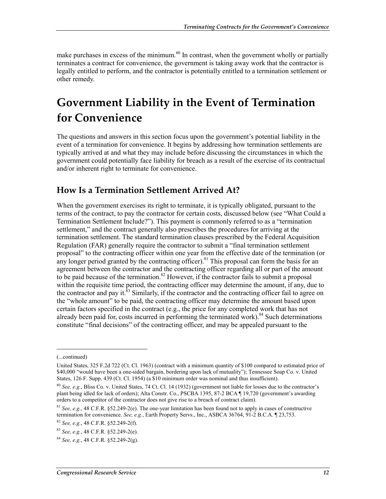make purchases in excess of the minimum.<sup>80</sup> In contrast, when the government wholly or partially terminates a contract for convenience, the government is taking away work that the contractor is legally entitled to perform, and the contractor is potentially entitled to a termination settlement or other remedy.

# **Government Liability in the Event of Termination for Convenience**

The questions and answers in this section focus upon the government's potential liability in the event of a termination for convenience. It begins by addressing how termination settlements are typically arrived at and what they may include before discussing the circumstances in which the government could potentially face liability for breach as a result of the exercise of its contractual and/or inherent right to terminate for convenience.

#### **How Is a Termination Settlement Arrived At?**

When the government exercises its right to terminate, it is typically obligated, pursuant to the terms of the contract, to pay the contractor for certain costs, discussed below (see "What Could a Termination Settlement Include?"). This payment is commonly referred to as a "termination settlement," and the contract generally also prescribes the procedures for arriving at the termination settlement. The standard termination clauses prescribed by the Federal Acquisition Regulation (FAR) generally require the contractor to submit a "final termination settlement proposal" to the contracting officer within one year from the effective date of the termination (or any longer period granted by the contracting officer).<sup>81</sup> This proposal can form the basis for an agreement between the contractor and the contracting officer regarding all or part of the amount to be paid because of the termination.<sup>82</sup> However, if the contractor fails to submit a proposal within the requisite time period, the contracting officer may determine the amount, if any, due to the contractor and pay it. $^{83}$  Similarly, if the contractor and the contracting officer fail to agree on the "whole amount" to be paid, the contracting officer may determine the amount based upon certain factors specified in the contract (e.g., the price for any completed work that has not already been paid for, costs incurred in performing the terminated work).<sup>84</sup> Such determinations constitute "final decisions" of the contracting officer, and may be appealed pursuant to the

<sup>(...</sup>continued)

United States, 325 F.2d 722 (Ct. Cl. 1963) (contract with a minimum quantity of \$100 compared to estimated price of \$40,000 "would have been a one-sided bargain, bordering upon lack of mutuality"); Tennessee Soap Co. v. United States, 126 F. Supp. 439 (Ct. Cl. 1954) (a \$10 minimum order was nominal and thus insufficient).

<sup>80</sup> *See, e.g.*, Bliss Co. v. United States, 74 Ct. Cl. 14 (1932) (government not liable for losses due to the contractor's plant being idled for lack of orders); Alta Constr. Co., PSCBA 1395, 87-2 BCA ¶ 19,720 (government's awarding orders to a competitor of the contractor does not give rise to a breach of contract claim).

<sup>81</sup> *See, e.g.*, 48 C.F.R. §52.249-2(e). The one-year limitation has been found not to apply in cases of constructive termination for convenience. *See, e.g.*, Earth Property Servs., Inc., ASBCA 36764, 91-2 B.C.A. ¶ 23,753.

<sup>82</sup> *See, e.g.*, 48 C.F.R. §52.249-2(f).

<sup>83</sup> *See, e.g.*, 48 C.F.R. §52.249-2(e).

<sup>84</sup> *See, e.g.*, 48 C.F.R. §52.249-2(g).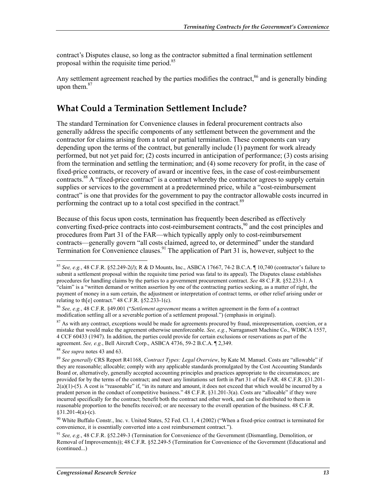contract's Disputes clause, so long as the contractor submitted a final termination settlement proposal within the requisite time period.<sup>85</sup>

Any settlement agreement reached by the parties modifies the contract,<sup>86</sup> and is generally binding upon them. $87$ 

### **What Could a Termination Settlement Include?**

The standard Termination for Convenience clauses in federal procurement contracts also generally address the specific components of any settlement between the government and the contractor for claims arising from a total or partial termination. These components can vary depending upon the terms of the contract, but generally include (1) payment for work already performed, but not yet paid for; (2) costs incurred in anticipation of performance; (3) costs arising from the termination and settling the termination; and (4) some recovery for profit, in the case of fixed-price contracts, or recovery of award or incentive fees, in the case of cost-reimbursement contracts.<sup>88</sup> A "fixed-price contract" is a contract whereby the contractor agrees to supply certain supplies or services to the government at a predetermined price, while a "cost-reimbursement contract" is one that provides for the government to pay the contractor allowable costs incurred in performing the contract up to a total cost specified in the contract.<sup>89</sup>

Because of this focus upon costs, termination has frequently been described as effectively converting fixed-price contracts into cost-reimbursement contracts, $90$  and the cost principles and procedures from Part 31 of the FAR—which typically apply only to cost-reimbursement contracts—generally govern "all costs claimed, agreed to, or determined" under the standard Termination for Convenience clauses.<sup>91</sup> The application of Part 31 is, however, subject to the

<sup>87</sup> As with any contract, exceptions would be made for agreements procured by fraud, misrepresentation, coercion, or a mistake that would make the agreement otherwise unenforceable. *See, e.g.*, Narragansett Machine Co., WDBCA 1557, 4 CCF 60433 (1947). In addition, the parties could provide for certain exclusions or reservations as part of the agreement. *See, e.g.*, Bell Aircraft Corp., ASBCA 4736, 59-2 B.C.A. ¶ 2,349.

<sup>88</sup> *See supra* notes 43 and 63.

1

<sup>90</sup> White Buffalo Constr., Inc. v. United States, 52 Fed. Cl. 1, 4 (2002) ("When a fixed-price contract is terminated for convenience, it is essentially converted into a cost reimbursement contract.").

<sup>91</sup> *See, e.g.*, 48 C.F.R. §52.249-3 (Termination for Convenience of the Government (Dismantling, Demolition, or Removal of Improvements)); 48 C.F.R. §52.249-5 (Termination for Convenience of the Government (Educational and (continued...)

<sup>85</sup> *See, e.g.*, 48 C.F.R. §52.249-2(*l*); R & D Mounts, Inc., ASBCA 17667, 74-2 B.C.A. ¶ 10,740 (contractor's failure to submit a settlement proposal within the requisite time period was fatal to its appeal). The Disputes clause establishes procedures for handling claims by the parties to a government procurement contract. *See* 48 C.F.R. §52.233-1. A "claim" is a "written demand or written assertion by one of the contracting parties seeking, as a matter of right, the payment of money in a sum certain, the adjustment or interpretation of contract terms, or other relief arising under or relating to th[e] contract." 48 C.F.R. §52.233-1(c).

<sup>86</sup> *See, e.g.*, 48 C.F.R. §49.001 ("*Settlement agreement* means a written agreement in the form of a contract modification settling all or a severable portion of a settlement proposal.") (emphasis in original).

<sup>89</sup> *See generally* CRS Report R41168, *Contract Types: Legal Overview*, by Kate M. Manuel. Costs are "allowable" if they are reasonable; allocable; comply with any applicable standards promulgated by the Cost Accounting Standards Board or, alternatively, generally accepted accounting principles and practices appropriate to the circumstances; are provided for by the terms of the contract; and meet any limitations set forth in Part 31 of the FAR. 48 C.F.R. §31.201-  $2(a)(1)$ -(5). A cost is "reasonable" if, "in its nature and amount, it does not exceed that which would be incurred by a prudent person in the conduct of competitive business." 48 C.F.R. §31.201-3(a). Costs are "allocable" if they were incurred specifically for the contract; benefit both the contract and other work, and can be distributed to them in reasonable proportion to the benefits received; or are necessary to the overall operation of the business. 48 C.F.R.  $§31.201-4(a)-(c).$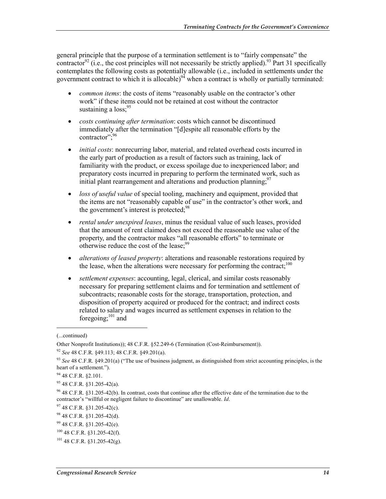general principle that the purpose of a termination settlement is to "fairly compensate" the contractor<sup>92</sup> (i.e., the cost principles will not necessarily be strictly applied).<sup>93</sup> Part 31 specifically contemplates the following costs as potentially allowable (i.e., included in settlements under the government contract to which it is allocable)<sup>94</sup> when a contract is wholly or partially terminated:

- *common items*: the costs of items "reasonably usable on the contractor's other work" if these items could not be retained at cost without the contractor sustaining a loss:<sup>95</sup>
- *costs continuing after termination*: costs which cannot be discontinued immediately after the termination "[d]espite all reasonable efforts by the contractor": 96
- *initial costs*: nonrecurring labor, material, and related overhead costs incurred in the early part of production as a result of factors such as training, lack of familiarity with the product, or excess spoilage due to inexperienced labor; and preparatory costs incurred in preparing to perform the terminated work, such as initial plant rearrangement and alterations and production planning.<sup>97</sup>
- *loss of useful value* of special tooling, machinery and equipment, provided that the items are not "reasonably capable of use" in the contractor's other work, and the government's interest is protected;<sup>98</sup>
- *rental under unexpired leases*, minus the residual value of such leases, provided that the amount of rent claimed does not exceed the reasonable use value of the property, and the contractor makes "all reasonable efforts" to terminate or otherwise reduce the cost of the lease;<sup>99</sup>
- *alterations of leased property*: alterations and reasonable restorations required by the lease, when the alterations were necessary for performing the contract:<sup>100</sup>
- *settlement expenses*: accounting, legal, clerical, and similar costs reasonably necessary for preparing settlement claims and for termination and settlement of subcontracts; reasonable costs for the storage, transportation, protection, and disposition of property acquired or produced for the contract; and indirect costs related to salary and wages incurred as settlement expenses in relation to the foregoing; $^{101}$  and

 $\overline{a}$ 

<sup>(...</sup>continued)

Other Nonprofit Institutions)); 48 C.F.R. §52.249-6 (Termination (Cost-Reimbursement)).

<sup>92</sup> *See* 48 C.F.R. §49.113; 48 C.F.R. §49.201(a).

<sup>93</sup> *See* 48 C.F.R. §49.201(a) ("The use of business judgment, as distinguished from strict accounting principles, is the heart of a settlement.").

<sup>94 48</sup> C.F.R. §2.101.

<sup>95 48</sup> C.F.R. §31.205-42(a).

 $96$  48 C.F.R. §31.205-42(b). In contrast, costs that continue after the effective date of the termination due to the contractor's "willful or negligent failure to discontinue" are unallowable. *Id*.

<sup>97 48</sup> C.F.R. §31.205-42(c).

<sup>98 48</sup> C.F.R. §31.205-42(d).

<sup>99 48</sup> C.F.R. §31.205-42(e).

 $100$  48 C.F.R. §31.205-42(f).

 $101$  48 C.F.R.  $831.205 - 42(g)$ .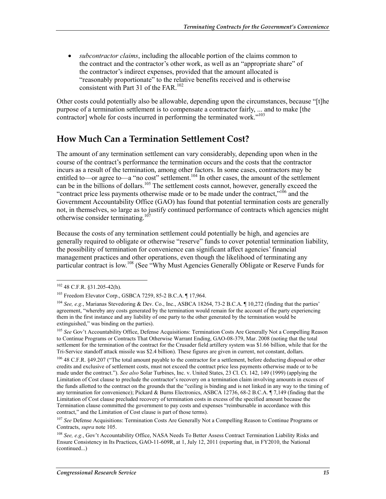• *subcontractor claims*, including the allocable portion of the claims common to the contract and the contractor's other work, as well as an "appropriate share" of the contractor's indirect expenses, provided that the amount allocated is "reasonably proportionate" to the relative benefits received and is otherwise consistent with Part 31 of the FAR.<sup>102</sup>

Other costs could potentially also be allowable, depending upon the circumstances, because "[t]he purpose of a termination settlement is to compensate a contractor fairly, ... and to make [the contractor] whole for costs incurred in performing the terminated work."<sup>103</sup>

#### **How Much Can a Termination Settlement Cost?**

The amount of any termination settlement can vary considerably, depending upon when in the course of the contract's performance the termination occurs and the costs that the contractor incurs as a result of the termination, among other factors. In some cases, contractors may be entitled to—or agree to—a "no cost" settlement.<sup>104</sup> In other cases, the amount of the settlement can be in the billions of dollars.<sup>105</sup> The settlement costs cannot, however, generally exceed the "contract price less payments otherwise made or to be made under the contract," $10^6$  and the Government Accountability Office (GAO) has found that potential termination costs are generally not, in themselves, so large as to justify continued performance of contracts which agencies might otherwise consider terminating.<sup>107</sup>

Because the costs of any termination settlement could potentially be high, and agencies are generally required to obligate or otherwise "reserve" funds to cover potential termination liability, the possibility of termination for convenience can significant affect agencies' financial management practices and other operations, even though the likelihood of terminating any particular contract is low.<sup>108</sup> (See "Why Must Agencies Generally Obligate or Reserve Funds for

<sup>102 48</sup> C.F.R. §31.205-42(h).

<sup>103</sup> Freedom Elevator Corp., GSBCA 7259, 85-2 B.C.A. ¶ 17,964.

<sup>104</sup> *See, e.g.*, Marianas Stevedoring & Dev. Co., Inc., ASBCA 18264, 73-2 B.C.A. ¶ 10,272 (finding that the parties' agreement, "whereby any costs generated by the termination would remain for the account of the party experiencing them in the first instance and any liability of one party to the other generated by the termination would be extinguished," was binding on the parties).

<sup>&</sup>lt;sup>105</sup> See Gov't Accountability Office, Defense Acquisitions: Termination Costs Are Generally Not a Compelling Reason to Continue Programs or Contracts That Otherwise Warrant Ending, GAO-08-379, Mar. 2008 (noting that the total settlement for the termination of the contract for the Crusader field artillery system was \$1.66 billion, while that for the Tri-Service standoff attack missile was \$2.4 billion). These figures are given in current, not constant, dollars.

<sup>&</sup>lt;sup>106</sup> 48 C.F.R. §49.207 ("The total amount payable to the contractor for a settlement, before deducting disposal or other credits and exclusive of settlement costs, must not exceed the contract price less payments otherwise made or to be made under the contract."). *See also* Solar Turbines, Inc. v. United States, 23 Cl. Ct. 142, 149 (1999) (applying the Limitation of Cost clause to preclude the contractor's recovery on a termination claim involving amounts in excess of the funds allotted to the contract on the grounds that the "ceiling is binding and is not linked in any way to the timing of any termination for convenience); Pickard & Burns Electronics, ASBCA 12736, 68-2 B.C.A. ¶ 7,149 (finding that the Limitation of Cost clause precluded recovery of termination costs in excess of the specified amount because the Termination clause committed the government to pay costs and expenses "reimbursable in accordance with this contract," and the Limitation of Cost clause is part of those terms).

<sup>107</sup> *See* Defense Acquisitions: Termination Costs Are Generally Not a Compelling Reason to Continue Programs or Contracts, *supra* note 105.

<sup>&</sup>lt;sup>108</sup> See, e.g., Gov't Accountability Office, NASA Needs To Better Assess Contract Termination Liability Risks and Ensure Consistency in Its Practices, GAO-11-609R, at 1, July 12, 2011 (reporting that, in FY2010, the National (continued...)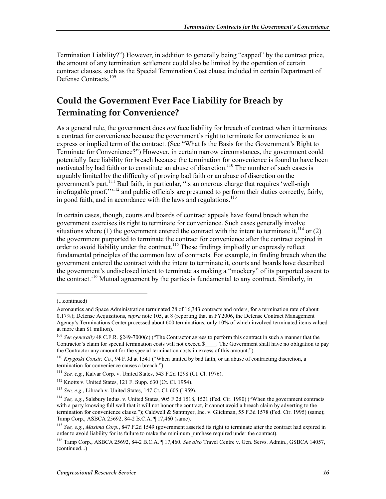Termination Liability?") However, in addition to generally being "capped" by the contract price, the amount of any termination settlement could also be limited by the operation of certain contract clauses, such as the Special Termination Cost clause included in certain Department of Defense Contracts.<sup>109</sup>

#### **Could the Government Ever Face Liability for Breach by Terminating for Convenience?**

As a general rule, the government does *not* face liability for breach of contract when it terminates a contract for convenience because the government's right to terminate for convenience is an express or implied term of the contract. (See "What Is the Basis for the Government's Right to Terminate for Convenience?") However, in certain narrow circumstances, the government could potentially face liability for breach because the termination for convenience is found to have been motivated by bad faith or to constitute an abuse of discretion.<sup>110</sup> The number of such cases is arguably limited by the difficulty of proving bad faith or an abuse of discretion on the government's part.111 Bad faith, in particular, "is an onerous charge that requires 'well-nigh irrefragable proof,"<sup>112</sup> and public officials are presumed to perform their duties correctly, fairly, in good faith, and in accordance with the laws and regulations.<sup>113</sup>

In certain cases, though, courts and boards of contract appeals have found breach when the government exercises its right to terminate for convenience. Such cases generally involve situations where (1) the government entered the contract with the intent to terminate it,  $^{114}$  or (2) the government purported to terminate the contract for convenience after the contract expired in order to avoid liability under the contract.<sup>115</sup> These findings impliedly or expressly reflect fundamental principles of the common law of contracts. For example, in finding breach when the government entered the contract with the intent to terminate it, courts and boards have described the government's undisclosed intent to terminate as making a "mockery" of its purported assent to the contract.<sup>116</sup> Mutual agreement by the parties is fundamental to any contract. Similarly, in

<sup>(...</sup>continued)

Aeronautics and Space Administration terminated 28 of 16,343 contracts and orders, for a termination rate of about 0.17%); Defense Acquisitions, *supra* note 105, at 8 (reporting that in FY2006, the Defense Contract Management Agency's Terminations Center processed about 600 terminations, only 10% of which involved terminated items valued at more than \$1 million).

<sup>&</sup>lt;sup>109</sup> *See generally* 48 C.F.R. §249-7000(c) ("The Contractor agrees to perform this contract in such a manner that the Contractor's claim for special termination costs will not exceed \$\_\_\_\_. The Government shall have no obligation to pay the Contractor any amount for the special termination costs in excess of this amount.").

<sup>110</sup> *Krygoski Constr. Co.*, 94 F.3d at 1541 ("When tainted by bad faith, or an abuse of contracting discretion, a termination for convenience causes a breach.").

<sup>111</sup> *See, e.g.*, Kalvar Corp. v. United States, 543 F.2d 1298 (Ct. Cl. 1976).

<sup>112</sup> Knotts v. United States, 121 F. Supp. 630 (Ct. Cl. 1954).

<sup>113</sup> *See, e.g.*, Librach v. United States, 147 Ct. Cl. 605 (1959).

<sup>114</sup> *See, e.g.*, Salsbury Indus. v. United States, 905 F.2d 1518, 1521 (Fed. Cir. 1990) ("When the government contracts with a party knowing full well that it will not honor the contract, it cannot avoid a breach claim by adverting to the termination for convenience clause."); Caldwell & Santmyer, Inc. v. Glickman, 55 F.3d 1578 (Fed. Cir. 1995) (same); Tamp Corp., ASBCA 25692, 84-2 B.C.A. ¶ 17,460 (same).

<sup>115</sup> *See, e.g.*, *Maxima Corp.*, 847 F.2d 1549 (government asserted its right to terminate after the contract had expired in order to avoid liability for its failure to make the minimum purchase required under the contract).

<sup>116</sup> Tamp Corp., ASBCA 25692, 84-2 B.C.A. ¶ 17,460. *See also* Travel Centre v. Gen. Servs. Admin., GSBCA 14057, (continued...)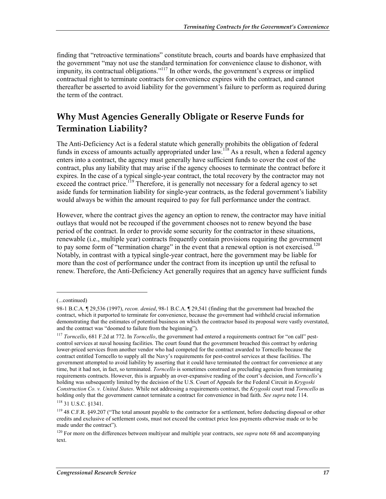finding that "retroactive terminations" constitute breach, courts and boards have emphasized that the government "may not use the standard termination for convenience clause to dishonor, with impunity, its contractual obligations."<sup>117</sup> In other words, the government's express or implied contractual right to terminate contracts for convenience expires with the contract, and cannot thereafter be asserted to avoid liability for the government's failure to perform as required during the term of the contract.

### **Why Must Agencies Generally Obligate or Reserve Funds for Termination Liability?**

The Anti-Deficiency Act is a federal statute which generally prohibits the obligation of federal funds in excess of amounts actually appropriated under law.<sup>118</sup> As a result, when a federal agency enters into a contract, the agency must generally have sufficient funds to cover the cost of the contract, plus any liability that may arise if the agency chooses to terminate the contract before it expires. In the case of a typical single-year contract, the total recovery by the contractor may not exceed the contract price.<sup>119</sup> Therefore, it is generally not necessary for a federal agency to set aside funds for termination liability for single-year contracts, as the federal government's liability would always be within the amount required to pay for full performance under the contract.

However, where the contract gives the agency an option to renew, the contractor may have initial outlays that would not be recouped if the government chooses not to renew beyond the base period of the contract. In order to provide some security for the contractor in these situations, renewable (i.e., multiple year) contracts frequently contain provisions requiring the government to pay some form of "termination charge" in the event that a renewal option is not exercised.<sup>120</sup> Notably, in contrast with a typical single-year contract, here the government may be liable for more than the cost of performance under the contract from its inception up until the refusal to renew. Therefore, the Anti-Deficiency Act generally requires that an agency have sufficient funds

<sup>(...</sup>continued)

<sup>98-1</sup> B.C.A. ¶ 29,536 (1997), *recon. denied*, 98-1 B.C.A. ¶ 29,541 (finding that the government had breached the contract, which it purported to terminate for convenience, because the government had withheld crucial information demonstrating that the estimates of potential business on which the contractor based its proposal were vastly overstated, and the contract was "doomed to failure from the beginning").

<sup>117</sup> *Torncello*, 681 F.2d at 772. In *Torncello*, the government had entered a requirements contract for "on call" pestcontrol services at naval housing facilities. The court found that the government breached this contract by ordering lower-priced services from another vendor who had competed for the contract awarded to Torncello because the contract entitled Torncello to supply all the Navy's requirements for pest-control services at these facilities. The government attempted to avoid liability by asserting that it could have terminated the contract for convenience at any time, but it had not, in fact, so terminated. *Torncello* is sometimes construed as precluding agencies from terminating requirements contracts. However, this is arguably an over-expansive reading of the court's decision, and *Torncello*'s holding was subsequently limited by the decision of the U.S. Court of Appeals for the Federal Circuit in *Krygoski Construction Co. v. United States*. While not addressing a requirements contract, the *Krygoski* court read *Torncello* as holding only that the government cannot terminate a contract for convenience in bad faith. *See supra* note 114.

<sup>118 31</sup> U.S.C. §1341.

<sup>119 48</sup> C.F.R. §49.207 ("The total amount payable to the contractor for a settlement, before deducting disposal or other credits and exclusive of settlement costs, must not exceed the contract price less payments otherwise made or to be made under the contract").

<sup>120</sup> For more on the differences between multiyear and multiple year contracts, see *supra* note 68 and accompanying text.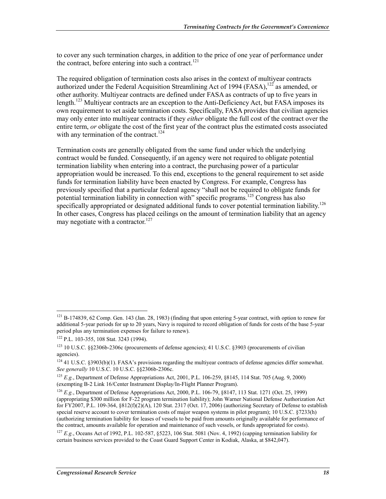to cover any such termination charges, in addition to the price of one year of performance under the contract, before entering into such a contract.<sup>121</sup>

The required obligation of termination costs also arises in the context of multiyear contracts authorized under the Federal Acquisition Streamlining Act of 1994 (FASA),  $^{122}$  as amended, or other authority. Multiyear contracts are defined under FASA as contracts of up to five years in length.<sup>123</sup> Multiyear contracts are an exception to the Anti-Deficiency Act, but FASA imposes its own requirement to set aside termination costs. Specifically, FASA provides that civilian agencies may only enter into multiyear contracts if they *either* obligate the full cost of the contract over the entire term, *or* obligate the cost of the first year of the contract plus the estimated costs associated with any termination of the contract.<sup>124</sup>

Termination costs are generally obligated from the same fund under which the underlying contract would be funded. Consequently, if an agency were not required to obligate potential termination liability when entering into a contract, the purchasing power of a particular appropriation would be increased. To this end, exceptions to the general requirement to set aside funds for termination liability have been enacted by Congress. For example, Congress has previously specified that a particular federal agency "shall not be required to obligate funds for potential termination liability in connection with" specific programs.<sup>125</sup> Congress has also specifically appropriated or designated additional funds to cover potential termination liability.<sup>126</sup> In other cases, Congress has placed ceilings on the amount of termination liability that an agency may negotiate with a contractor. $127$ 

 $121$  B-174839, 62 Comp. Gen. 143 (Jan. 28, 1983) (finding that upon entering 5-year contract, with option to renew for additional 5-year periods for up to 20 years, Navy is required to record obligation of funds for costs of the base 5-year period plus any termination expenses for failure to renew).

<sup>122</sup> P.L. 103-355, 108 Stat. 3243 (1994).

 $123$  10 U.S.C. §§2306b-2306c (procurements of defense agencies); 41 U.S.C. §3903 (procurements of civilian agencies).

<sup>&</sup>lt;sup>124</sup> 41 U.S.C. §3903(b)(1). FASA's provisions regarding the multiyear contracts of defense agencies differ somewhat. *See generally* 10 U.S.C. 10 U.S.C. §§2306b-2306c.

<sup>125</sup> *E.g.*, Department of Defense Appropriations Act, 2001, P.L. 106-259, §8145, 114 Stat. 705 (Aug. 9, 2000) (exempting B-2 Link 16/Center Instrument Display/In-Flight Planner Program).

<sup>126</sup> *E.g.*, Department of Defense Appropriations Act, 2000, P.L. 106-79, §8147, 113 Stat. 1271 (Oct. 25, 1999) (appropriating \$300 million for F-22 program termination liability); John Warner National Defense Authorization Act for FY2007, P.L. 109-364, §812(f)(2)(A), 120 Stat. 2317 (Oct. 17, 2006) (authorizing Secretary of Defense to establish special reserve account to cover termination costs of major weapon systems in pilot program); 10 U.S.C. §7233(h) (authorizing termination liability for leases of vessels to be paid from amounts originally available for performance of the contract, amounts available for operation and maintenance of such vessels, or funds appropriated for costs).

<sup>127</sup> *E.g.*, Oceans Act of 1992, P.L. 102-587, §5223, 106 Stat. 5081 (Nov. 4, 1992) (capping termination liability for certain business services provided to the Coast Guard Support Center in Kodiak, Alaska, at \$842,047).